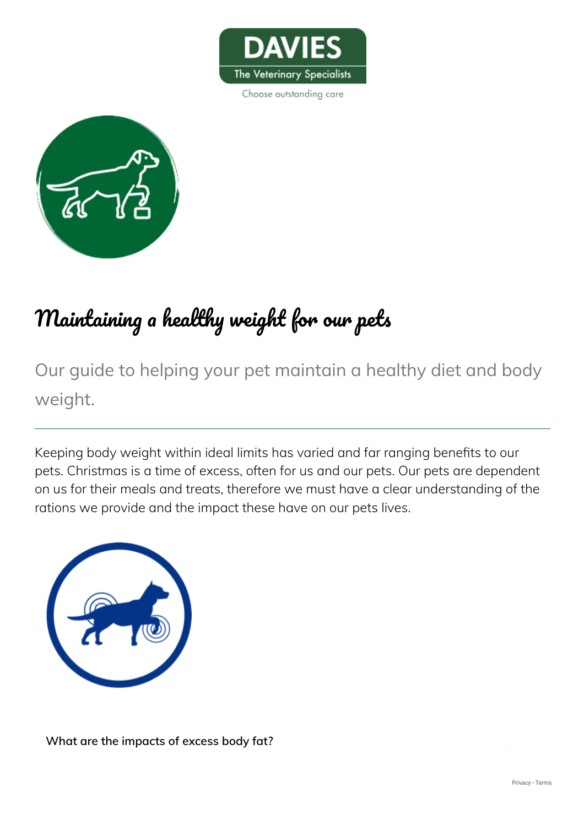

Choose outstanding care



# Maintaining a healthy weight for our pets

Our guide to helping your pet maintain a healthy diet and body weight.

Keeping body weight within ideal limits has varied and far ranging benefits to our pets. Christmas is a time of excess, often for us and our pets. Our pets are dependent on us for their meals and treats, therefore we must have a clear understanding of the rations we provide and the impact these have on our pets lives.



**What are the impacts of excess body fat?**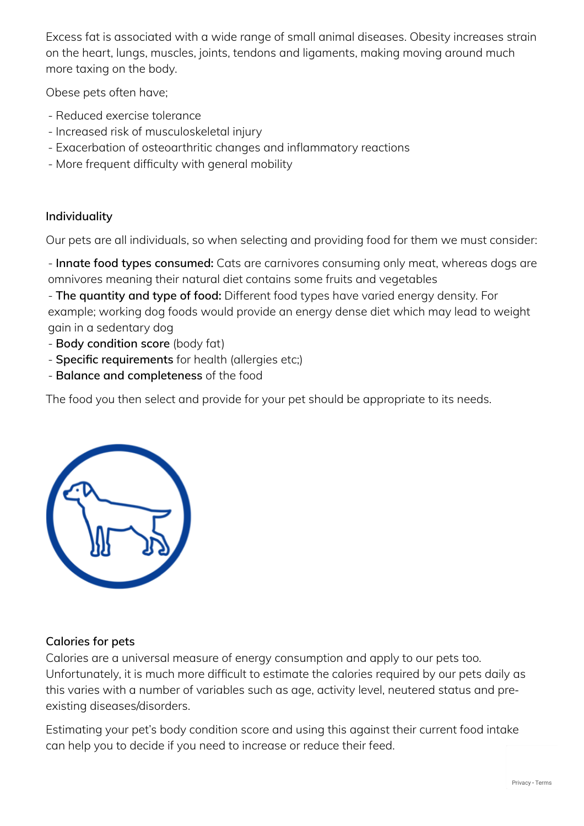Excess fat is associated with a wide range of small animal diseases. Obesity increases strain on the heart, lungs, muscles, joints, tendons and ligaments, making moving around much more taxing on the body.

Obese pets often have;

- Reduced exercise tolerance
- Increased risk of musculoskeletal injury
- Exacerbation of osteoarthritic changes and inflammatory reactions
- More frequent difficulty with general mobility

## **Individuality**

Our pets are all individuals, so when selecting and providing food for them we must consider:

- **Innate food types consumed:** Cats are carnivores consuming only meat, whereas dogs are omnivores meaning their natural diet contains some fruits and vegetables

- **The quantity and type of food:** Different food types have varied energy density. For example; working dog foods would provide an energy dense diet which may lead to weight gain in a sedentary dog

- **Body condition score** (body fat)
- **Specific requirements** for health (allergies etc;)
- **Balance and completeness** of the food

The food you then select and provide for your pet should be appropriate to its needs.



#### **Calories for pets**

Calories are a universal measure of energy consumption and apply to our pets too. Unfortunately, it is much more difficult to estimate the calories required by our pets daily as this varies with a number of variables such as age, activity level, neutered status and pre‐ existing diseases/disorders.

Estimating your pet's body condition score and using this against their current food intake can help you to decide if you need to increase or reduce their feed.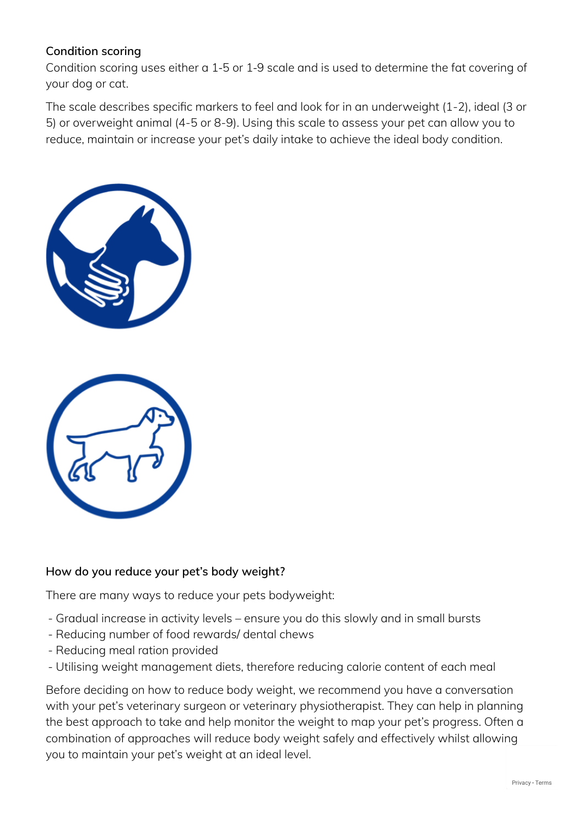## **Condition scoring**

Condition scoring uses either a 1‐5 or 1‐9 scale and is used to determine the fat covering of your dog or cat.

The scale describes specific markers to feel and look for in an underweight (1-2), ideal (3 or 5) or overweight animal (4-5 or 8-9). Using this scale to assess your pet can allow you to reduce, maintain or increase your pet's daily intake to achieve the ideal body condition.



#### **How do you reduce your pet's body weight?**

There are many ways to reduce your pets bodyweight:

- Gradual increase in activity levels ensure you do this slowly and in small bursts
- Reducing number of food rewards/ dental chews
- Reducing meal ration provided
- Utilising weight management diets, therefore reducing calorie content of each meal

Before deciding on how to reduce body weight, we recommend you have a conversation with your pet's veterinary surgeon or veterinary physiotherapist. They can help in planning the best approach to take and help monitor the weight to map your pet's progress. Often a combination of approaches will reduce body weight safely and effectively whilst allowing you to maintain your pet's weight at an ideal level.